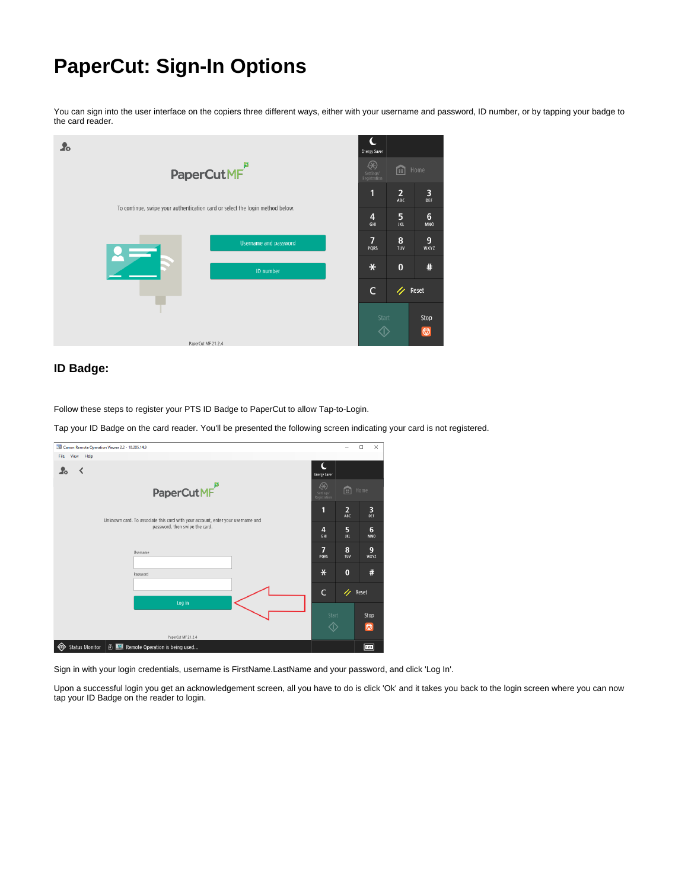## <span id="page-0-0"></span>**PaperCut: Sign-In Options**

You can sign into the user interface on the copiers three different ways, either with your username and password, ID number, or by tapping your badge to the card reader.



## **ID Badge:**

Follow these steps to register your PTS ID Badge to PaperCut to allow Tap-to-Login.

Tap your ID Badge on the card reader. You'll be presented the following screen indicating your card is not registered.

| Canon Remote Operation Viewer 2.2 - 10.205.14.9                                 |                                |                 | $\Box$<br>$\times$ |
|---------------------------------------------------------------------------------|--------------------------------|-----------------|--------------------|
| View<br>Help<br>File                                                            |                                |                 |                    |
| $\overline{\phantom{a}}$<br><b>Lo</b>                                           | C<br><b>Energy Saver</b>       |                 |                    |
| PaperCutMF <sup>B</sup>                                                         | ⊛<br>Settings/<br>Registration | 圇<br>Home       |                    |
| Unknown card. To associate this card with your account, enter your username and | 1                              | $\frac{2}{ABC}$ | 3<br>DEF           |
| password, then swipe the card.                                                  | 4<br>GHI                       | 5<br><b>JKL</b> | 6<br><b>MNO</b>    |
| Username                                                                        | 7<br>PORS                      | 8<br>TUV        | 9<br>WXYZ          |
| Password                                                                        | $\ast$                         | $\bf{0}$        | #                  |
| Log in                                                                          | $\mathsf{C}$                   | n               | Reset              |
|                                                                                 | Start                          |                 | Stop               |
| PaperCut MF 21.2.4                                                              | ◆                              |                 | $\circledcirc$     |
| <b>Status Monitor</b><br>Remote Operation is being used                         |                                |                 | 123                |

Sign in with your login credentials, username is FirstName.LastName and your password, and click 'Log In'.

Upon a successful login you get an acknowledgement screen, all you have to do is click 'Ok' and it takes you back to the login screen where you can now tap your ID Badge on the reader to login.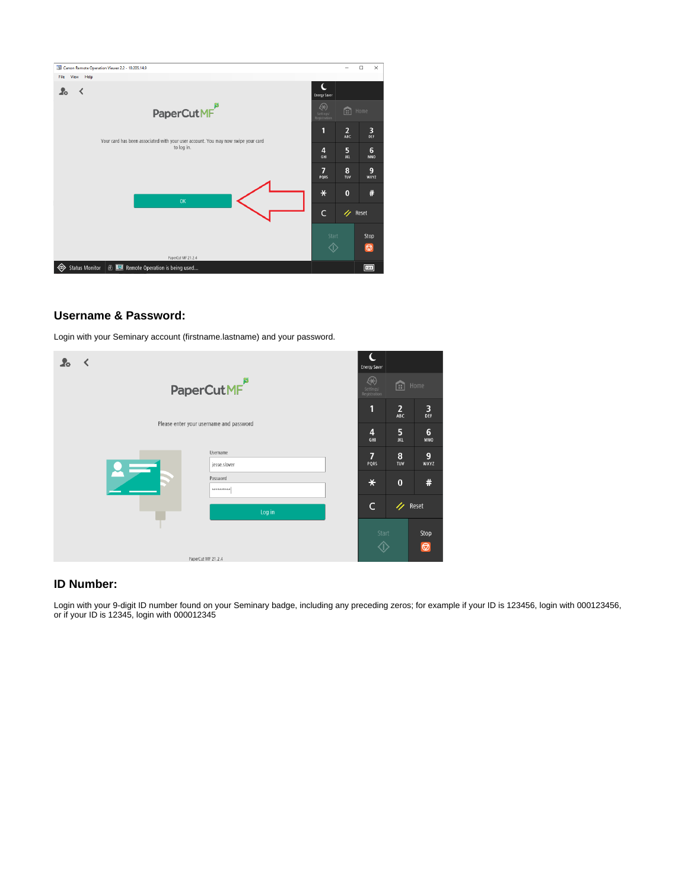

## **Username & Password:**

Login with your Seminary account (firstname.lastname) and your password.

| Zο                                      | ∢                       |  |                          |  | <b>Energy Saver</b>            |                       |                               |
|-----------------------------------------|-------------------------|--|--------------------------|--|--------------------------------|-----------------------|-------------------------------|
|                                         | PaperCutMF <sup>p</sup> |  |                          |  | ⊛<br>Settings/<br>Registration | 面<br>Home             |                               |
|                                         |                         |  |                          |  | ٢                              | $\overline{2}$<br>ABC | 3<br>DEF                      |
| Please enter your username and password |                         |  |                          |  | $\overline{4}$<br>GHI          | 5<br><b>JKL</b>       | $6\phantom{1}6$<br><b>MNO</b> |
|                                         |                         |  | Username<br>jesse.slover |  | 7<br>PQRS                      | 8<br>TUV              | 9<br>WXYZ                     |
|                                         |                         |  | Password<br>**********   |  | $\ast$                         | $\bf{0}$              | #                             |
|                                         |                         |  | Log in                   |  | C                              | n                     | Reset                         |
|                                         |                         |  | PaperCut MF 21.2.4       |  | Start                          |                       | Stop<br>$\circledcirc$        |

## **ID Number:**

Login with your 9-digit ID number found on your Seminary badge, including any preceding zeros; for example if your ID is 123456, login with 000123456, or if your ID is 12345, login with 000012345